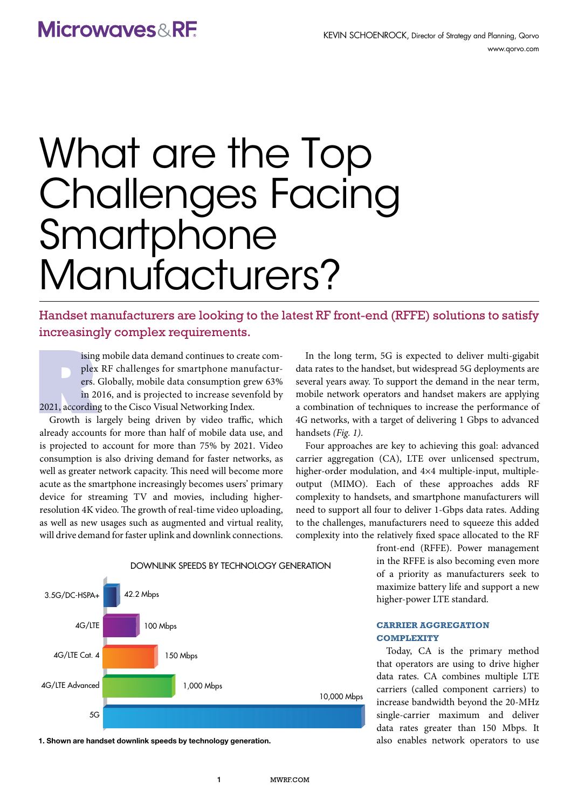# **Microwaves&RE**

# What are the Top Challenges Facing **Smartphone** Manufacturers?

Handset manufacturers are looking to the latest RF front-end (RFFE) solutions to satisfy increasingly complex requirements.

ising<br>plex<br>ers.<br>in 2<br>2021, accordin<br>Growth is ising mobile data demand continues to create complex RF challenges for smartphone manufacturers. Globally, mobile data consumption grew 63% in 2016, and is projected to increase sevenfold by 2021, according to the Cisco Visual Networking Index.

Growth is largely being driven by video traffic, which already accounts for more than half of mobile data use, and is projected to account for more than 75% by 2021. Video consumption is also driving demand for faster networks, as well as greater network capacity. This need will become more acute as the smartphone increasingly becomes users' primary device for streaming TV and movies, including higherresolution 4K video. The growth of real-time video uploading, as well as new usages such as augmented and virtual reality, will drive demand for faster uplink and downlink connections.

In the long term, 5G is expected to deliver multi-gigabit data rates to the handset, but widespread 5G deployments are several years away. To support the demand in the near term, mobile network operators and handset makers are applying a combination of techniques to increase the performance of 4G networks, with a target of delivering 1 Gbps to advanced handsets *(Fig. 1)*.

Four approaches are key to achieving this goal: advanced carrier aggregation (CA), LTE over unlicensed spectrum, higher-order modulation, and 4×4 multiple-input, multipleoutput (MIMO). Each of these approaches adds RF complexity to handsets, and smartphone manufacturers will need to support all four to deliver 1-Gbps data rates. Adding to the challenges, manufacturers need to squeeze this added complexity into the relatively fixed space allocated to the RF

> front-end (RFFE). Power management in the RFFE is also becoming even more of a priority as manufacturers seek to maximize battery life and support a new higher-power LTE standard.

# **Carrier Aggregation Complexity**

Today, CA is the primary method that operators are using to drive higher data rates. CA combines multiple LTE carriers (called component carriers) to increase bandwidth beyond the 20-MHz single-carrier maximum and deliver data rates greater than 150 Mbps. It also enables network operators to use



1. Shown are handset downlink speeds by technology generation.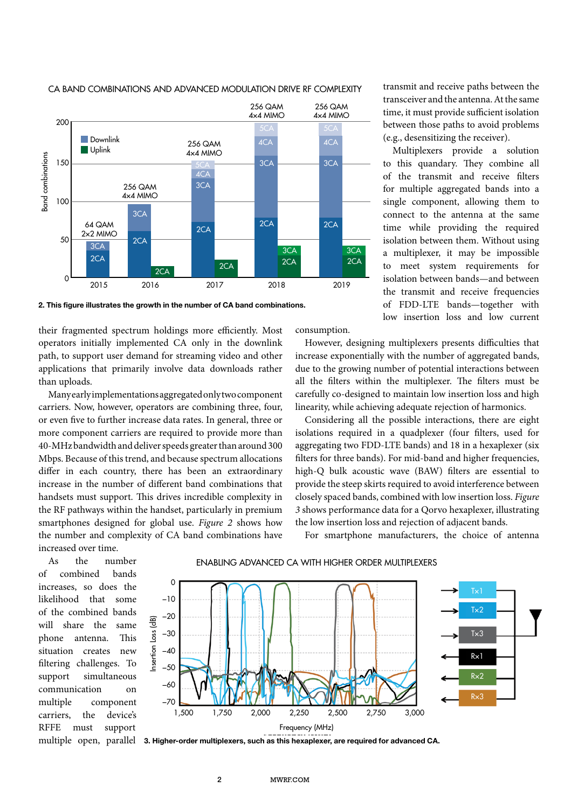

### CA BAND COMBINATIONS AND ADVANCED MODULATION DRIVE RF COMPLEXITY

2. This figure illustrates the growth in the number of CA band combinations.

their fragmented spectrum holdings more efficiently. Most operators initially implemented CA only in the downlink path, to support user demand for streaming video and other applications that primarily involve data downloads rather than uploads.

Many early implementations aggregated only two component carriers. Now, however, operators are combining three, four, or even five to further increase data rates. In general, three or more component carriers are required to provide more than 40-MHz bandwidth and deliver speeds greater than around 300 Mbps. Because of this trend, and because spectrum allocations differ in each country, there has been an extraordinary increase in the number of different band combinations that handsets must support. This drives incredible complexity in the RF pathways within the handset, particularly in premium smartphones designed for global use. *Figure 2* shows how the number and complexity of CA band combinations have increased over time.

consumption.

However, designing multiplexers presents difficulties that increase exponentially with the number of aggregated bands, due to the growing number of potential interactions between all the filters within the multiplexer. The filters must be carefully co-designed to maintain low insertion loss and high linearity, while achieving adequate rejection of harmonics.

Considering all the possible interactions, there are eight isolations required in a quadplexer (four filters, used for aggregating two FDD-LTE bands) and 18 in a hexaplexer (six filters for three bands). For mid-band and higher frequencies, high-Q bulk acoustic wave (BAW) filters are essential to provide the steep skirts required to avoid interference between closely spaced bands, combined with low insertion loss. *Figure 3* shows performance data for a Qorvo hexaplexer, illustrating the low insertion loss and rejection of adjacent bands.

For smartphone manufacturers, the choice of antenna

As the number of combined bands increases, so does the likelihood that some of the combined bands will share the same phone antenna. This situation creates new filtering challenges. To support simultaneous communication on multiple component carriers, the device's RFFE must support multiple open, parallel ENABLING ADVANCED CA WITH HIGHER ORDER MULTIPLEXERS



3. Higher-order multiplexers, such as this hexaplexer, are required for advanced CA.

transmit and receive paths between the transceiver and the antenna. At the same time, it must provide sufficient isolation between those paths to avoid problems (e.g., desensitizing the receiver).

Multiplexers provide a solution to this quandary. They combine all of the transmit and receive filters for multiple aggregated bands into a single component, allowing them to connect to the antenna at the same time while providing the required isolation between them. Without using a multiplexer, it may be impossible to meet system requirements for isolation between bands—and between the transmit and receive frequencies of FDD-LTE bands—together with low insertion loss and low current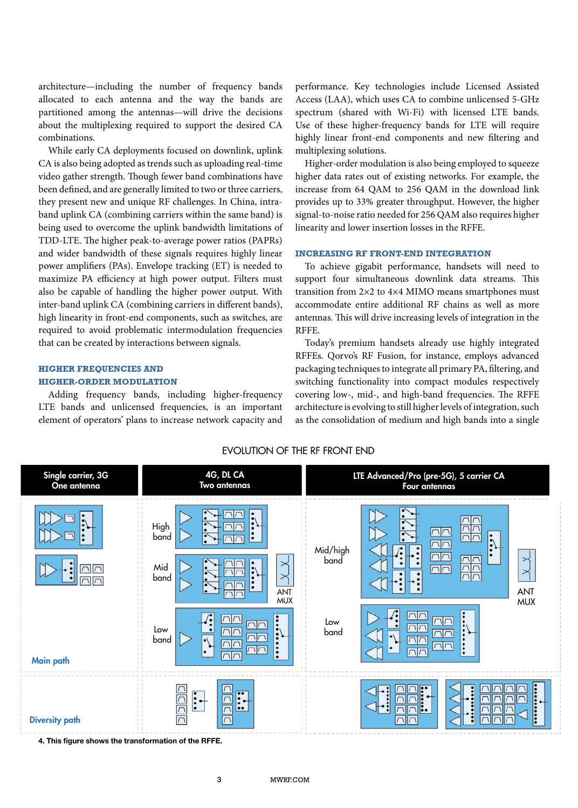architecture—including the number of frequency bands allocated to each antenna and the way the bands are partitioned among the antennas—will drive the decisions about the multiplexing required to support the desired CA combinations.

While early CA deployments focused on downlink, uplink CA is also being adopted as trends such as uploading real-time video gather strength. Though fewer band combinations have been defined, and are generally limited to two or three carriers, they present new and unique RF challenges. In China, intraband uplink CA (combining carriers within the same band) is being used to overcome the uplink bandwidth limitations of TDD-LTE. The higher peak-to-average power ratios (PAPRs) and wider bandwidth of these signals requires highly linear power amplifiers (PAs). Envelope tracking (ET) is needed to maximize PA efficiency at high power output. Filters must also be capable of handling the higher power output. With inter-band uplink CA (combining carriers in different bands), high linearity in front-end components, such as switches, are required to avoid problematic intermodulation frequencies that can be created by interactions between signals.

# **HIGHER FREQUENCIES AND Higher-Order Modulation**

Adding frequency bands, including higher-frequency LTE bands and unlicensed frequencies, is an important element of operators' plans to increase network capacity and performance. Key technologies include Licensed Assisted Access (LAA), which uses CA to combine unlicensed 5-GHz spectrum (shared with Wi-Fi) with licensed LTE bands. Use of these higher-frequency bands for LTE will require highly linear front-end components and new filtering and multiplexing solutions.

Higher-order modulation is also being employed to squeeze higher data rates out of existing networks. For example, the increase from 64 QAM to 256 QAM in the download link provides up to 33% greater throughput. However, the higher signal-to-noise ratio needed for 256 QAM also requires higher linearity and lower insertion losses in the RFFE.

#### **Increasing RF Front-End Integration**

To achieve gigabit performance, handsets will need to support four simultaneous downlink data streams. This transition from 2×2 to 4×4 MIMO means smartphones must accommodate entire additional RF chains as well as more antennas. This will drive increasing levels of integration in the RFFE.

Today's premium handsets already use highly integrated RFFEs. Qorvo's RF Fusion, for instance, employs advanced packaging techniques to integrate all primary PA, filtering, and switching functionality into compact modules respectively covering low-, mid-, and high-band frequencies. The RFFE architecture is evolving to still higher levels of integration, such as the consolidation of medium and high bands into a single



EVOLUTION OF THE RF FRONT END

4. This figure shows the transformation of the RFFE.